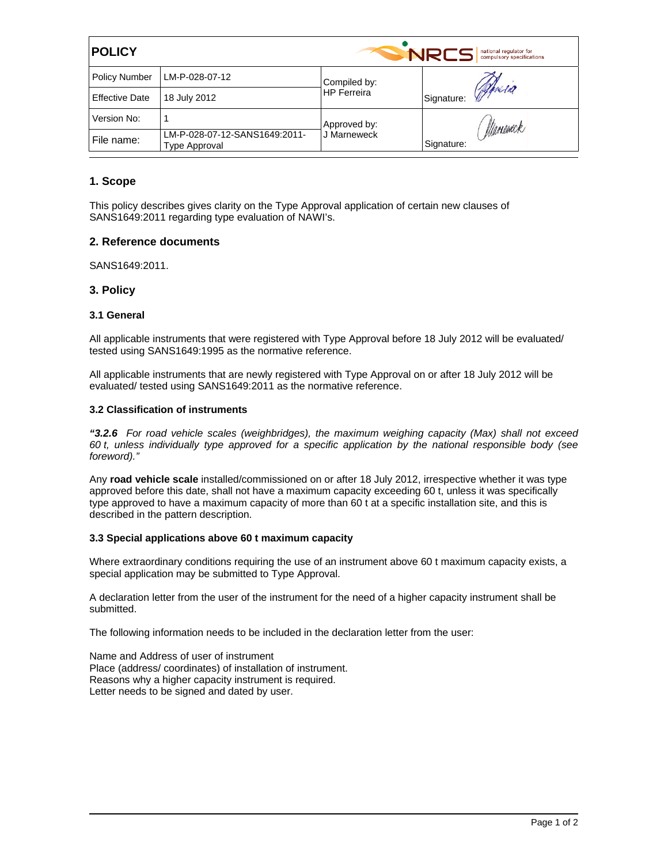| <b>POLICY</b>         |                                                | <b>NRCS</b><br>national regulator for<br>compulsory specifications |                      |  |
|-----------------------|------------------------------------------------|--------------------------------------------------------------------|----------------------|--|
| <b>Policy Number</b>  | LM-P-028-07-12                                 | Compiled by:<br><b>HP</b> Ferreira                                 |                      |  |
| <b>Effective Date</b> | 18 July 2012                                   |                                                                    | Jeresa<br>Signature: |  |
| Version No:           |                                                | Approved by:<br>J Marneweck                                        | Maneueck             |  |
| File name:            | LM-P-028-07-12-SANS1649:2011-<br>Type Approval |                                                                    | Signature:           |  |

## **1. Scope**

This policy describes gives clarity on the Type Approval application of certain new clauses of SANS1649:2011 regarding type evaluation of NAWI's.

## **2. Reference documents**

SANS1649:2011.

# **3. Policy**

### **3.1 General**

All applicable instruments that were registered with Type Approval before 18 July 2012 will be evaluated/ tested using SANS1649:1995 as the normative reference.

All applicable instruments that are newly registered with Type Approval on or after 18 July 2012 will be evaluated/ tested using SANS1649:2011 as the normative reference.

### **3.2 Classification of instruments**

*"3.2.6 For road vehicle scales (weighbridges), the maximum weighing capacity (Max) shall not exceed 60 t, unless individually type approved for a specific application by the national responsible body (see foreword)."* 

Any **road vehicle scale** installed/commissioned on or after 18 July 2012, irrespective whether it was type approved before this date, shall not have a maximum capacity exceeding 60 t, unless it was specifically type approved to have a maximum capacity of more than 60 t at a specific installation site, and this is described in the pattern description.

#### **3.3 Special applications above 60 t maximum capacity**

Where extraordinary conditions requiring the use of an instrument above 60 t maximum capacity exists, a special application may be submitted to Type Approval.

A declaration letter from the user of the instrument for the need of a higher capacity instrument shall be submitted.

The following information needs to be included in the declaration letter from the user:

Name and Address of user of instrument Place (address/ coordinates) of installation of instrument. Reasons why a higher capacity instrument is required. Letter needs to be signed and dated by user.